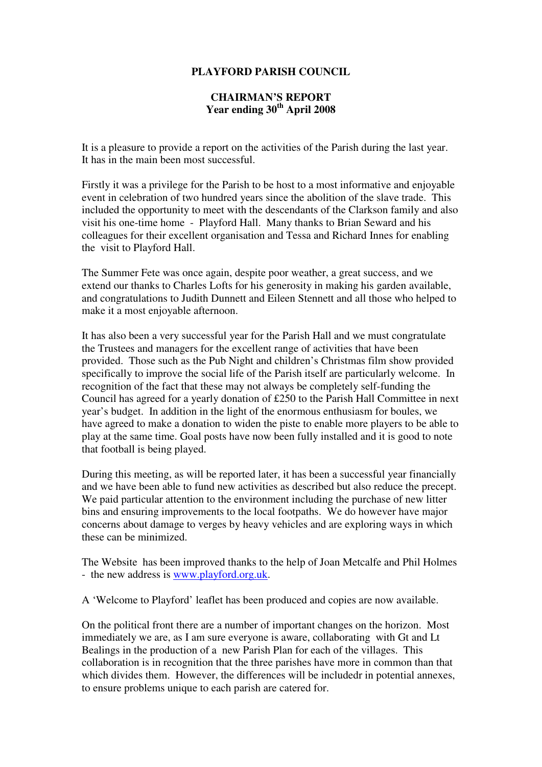## **PLAYFORD PARISH COUNCIL**

## **CHAIRMAN'S REPORT Year ending 30th April 2008**

It is a pleasure to provide a report on the activities of the Parish during the last year. It has in the main been most successful.

Firstly it was a privilege for the Parish to be host to a most informative and enjoyable event in celebration of two hundred years since the abolition of the slave trade. This included the opportunity to meet with the descendants of the Clarkson family and also visit his one-time home - Playford Hall. Many thanks to Brian Seward and his colleagues for their excellent organisation and Tessa and Richard Innes for enabling the visit to Playford Hall.

The Summer Fete was once again, despite poor weather, a great success, and we extend our thanks to Charles Lofts for his generosity in making his garden available, and congratulations to Judith Dunnett and Eileen Stennett and all those who helped to make it a most enjoyable afternoon.

It has also been a very successful year for the Parish Hall and we must congratulate the Trustees and managers for the excellent range of activities that have been provided. Those such as the Pub Night and children's Christmas film show provided specifically to improve the social life of the Parish itself are particularly welcome. In recognition of the fact that these may not always be completely self-funding the Council has agreed for a yearly donation of £250 to the Parish Hall Committee in next year's budget. In addition in the light of the enormous enthusiasm for boules, we have agreed to make a donation to widen the piste to enable more players to be able to play at the same time. Goal posts have now been fully installed and it is good to note that football is being played.

During this meeting, as will be reported later, it has been a successful year financially and we have been able to fund new activities as described but also reduce the precept. We paid particular attention to the environment including the purchase of new litter bins and ensuring improvements to the local footpaths. We do however have major concerns about damage to verges by heavy vehicles and are exploring ways in which these can be minimized.

The Website has been improved thanks to the help of Joan Metcalfe and Phil Holmes - the new address is www.playford.org.uk.

A 'Welcome to Playford' leaflet has been produced and copies are now available.

On the political front there are a number of important changes on the horizon. Most immediately we are, as I am sure everyone is aware, collaborating with Gt and Lt Bealings in the production of a new Parish Plan for each of the villages. This collaboration is in recognition that the three parishes have more in common than that which divides them. However, the differences will be includedr in potential annexes, to ensure problems unique to each parish are catered for.